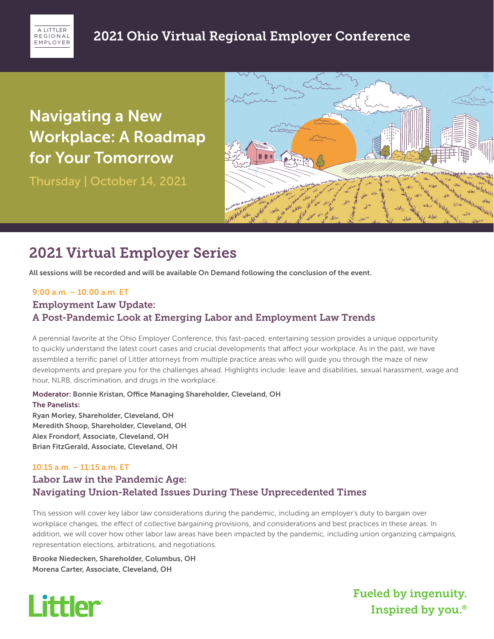

# Navigating a New Workplace: A Roadmap for Your Tomorrow

Thursday | October 14, 2021



# 2021 Virtual Employer Series

All sessions will be recorded and will be available On Demand following the conclusion of the event.

#### 9:00 a.m. – 10:00 a.m. ET

### Employment Law Update: A Post-Pandemic Look at Emerging Labor and Employment Law Trends

A perennial favorite at the Ohio Employer Conference, this fast-paced, entertaining session provides a unique opportunity to quickly understand the latest court cases and crucial developments that affect your workplace. As in the past, we have assembled a terrific panel of Littler attorneys from multiple practice areas who will guide you through the maze of new developments and prepare you for the challenges ahead. Highlights include: leave and disabilities, sexual harassment, wage and hour, NLRB, discrimination, and drugs in the workplace.

Moderator: Bonnie Kristan, Office Managing Shareholder, Cleveland, OH The Panelists: Ryan Morley, Shareholder, Cleveland, OH

Meredith Shoop, Shareholder, Cleveland, OH Alex Frondorf, Associate, Cleveland, OH Brian FitzGerald, Associate, Cleveland, OH

## 10:15 a.m. – 11:15 a.m. ET Labor Law in the Pandemic Age: Navigating Union-Related Issues During These Unprecedented Times

This session will cover key labor law considerations during the pandemic, including an employer's duty to bargain over workplace changes, the effect of collective bargaining provisions, and considerations and best practices in these areas. In addition, we will cover how other labor law areas have been impacted by the pandemic, including union organizing campaigns, representation elections, arbitrations, and negotiations.

Brooke Niedecken, Shareholder, Columbus, OH Morena Carter, Associate, Cleveland, OH



Fueled by ingenuity. Inspired by you.®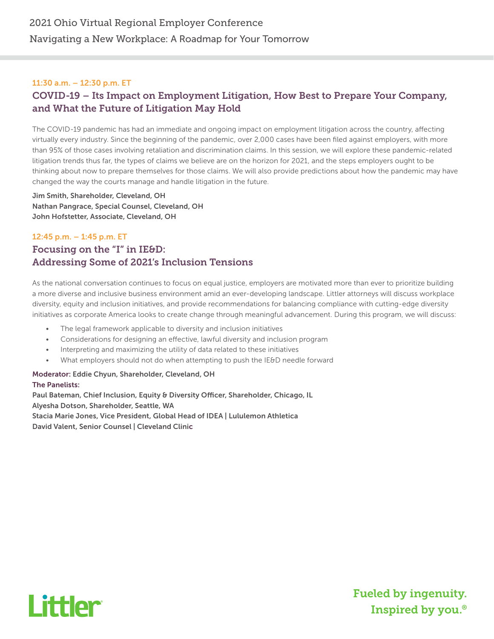#### 11:30 a.m. – 12:30 p.m. ET

## COVID-19 – Its Impact on Employment Litigation, How Best to Prepare Your Company, and What the Future of Litigation May Hold

The COVID-19 pandemic has had an immediate and ongoing impact on employment litigation across the country, affecting virtually every industry. Since the beginning of the pandemic, over 2,000 cases have been filed against employers, with more than 95% of those cases involving retaliation and discrimination claims. In this session, we will explore these pandemic-related litigation trends thus far, the types of claims we believe are on the horizon for 2021, and the steps employers ought to be thinking about now to prepare themselves for those claims. We will also provide predictions about how the pandemic may have changed the way the courts manage and handle litigation in the future.

Jim Smith, Shareholder, Cleveland, OH Nathan Pangrace, Special Counsel, Cleveland, OH John Hofstetter, Associate, Cleveland, OH

## 12:45 p.m. – 1:45 p.m. ET Focusing on the "I" in IE&D: Addressing Some of 2021's Inclusion Tensions

As the national conversation continues to focus on equal justice, employers are motivated more than ever to prioritize building a more diverse and inclusive business environment amid an ever-developing landscape. Littler attorneys will discuss workplace diversity, equity and inclusion initiatives, and provide recommendations for balancing compliance with cutting-edge diversity initiatives as corporate America looks to create change through meaningful advancement. During this program, we will discuss:

- The legal framework applicable to diversity and inclusion initiatives
- Considerations for designing an effective, lawful diversity and inclusion program
- Interpreting and maximizing the utility of data related to these initiatives
- What employers should not do when attempting to push the IE&D needle forward

#### Moderator: Eddie Chyun, Shareholder, Cleveland, OH

The Panelists: Paul Bateman, Chief Inclusion, Equity & Diversity Officer, Shareholder, Chicago, IL Alyesha Dotson, Shareholder, Seattle, WA Stacia Marie Jones, Vice President, Global Head of IDEA | Lululemon Athletica David Valent, Senior Counsel | Cleveland Clinic



Fueled by ingenuity. Inspired by you.®